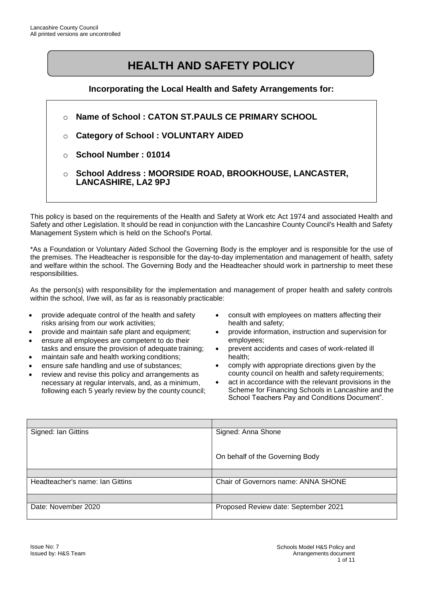# **HEALTH AND SAFETY POLICY**

**Incorporating the Local Health and Safety Arrangements for:**

- o **Name of School : CATON ST.PAULS CE PRIMARY SCHOOL**
- o **Category of School : VOLUNTARY AIDED**
- o **School Number : 01014**
- o **School Address : MOORSIDE ROAD, BROOKHOUSE, LANCASTER, LANCASHIRE, LA2 9PJ**

This policy is based on the requirements of the Health and Safety at Work etc Act 1974 and associated Health and Safety and other Legislation. It should be read in conjunction with the Lancashire County Council's Health and Safety Management System which is held on the School's Portal.

\*As a Foundation or Voluntary Aided School the Governing Body is the employer and is responsible for the use of the premises. The Headteacher is responsible for the day-to-day implementation and management of health, safety and welfare within the school. The Governing Body and the Headteacher should work in partnership to meet these responsibilities.

As the person(s) with responsibility for the implementation and management of proper health and safety controls within the school, I/we will, as far as is reasonably practicable:

- provide adequate control of the health and safety risks arising from our work activities;
- provide and maintain safe plant and equipment;
- ensure all employees are competent to do their tasks and ensure the provision of adequate training;
- maintain safe and health working conditions;
- ensure safe handling and use of substances;
- review and revise this policy and arrangements as necessary at regular intervals, and, as a minimum, following each 5 yearly review by the county council;
- consult with employees on matters affecting their health and safety;
- provide information, instruction and supervision for employees;
- prevent accidents and cases of work-related ill health;
- comply with appropriate directions given by the county council on health and safety requirements;
- act in accordance with the relevant provisions in the Scheme for Financing Schools in Lancashire and the School Teachers Pay and Conditions Document".

| Signed: Ian Gittins             | Signed: Anna Shone                   |
|---------------------------------|--------------------------------------|
|                                 |                                      |
|                                 |                                      |
|                                 | On behalf of the Governing Body      |
|                                 |                                      |
|                                 |                                      |
| Headteacher's name: Ian Gittins | Chair of Governors name: ANNA SHONE  |
|                                 |                                      |
|                                 |                                      |
| Date: November 2020             | Proposed Review date: September 2021 |
|                                 |                                      |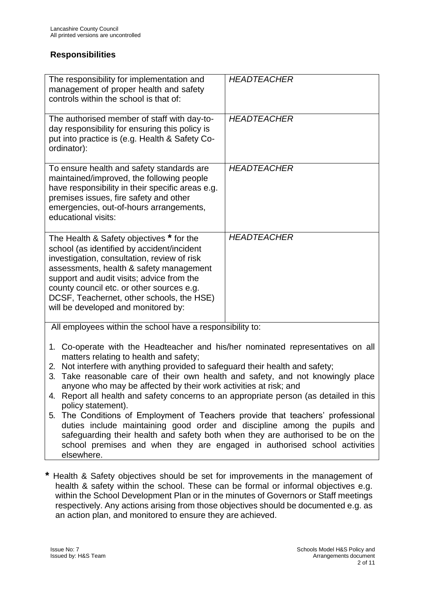### **Responsibilities**

| The responsibility for implementation and<br>management of proper health and safety<br>controls within the school is that of:                                                                                                                                                                                                                                  | <b>HEADTEACHER</b> |
|----------------------------------------------------------------------------------------------------------------------------------------------------------------------------------------------------------------------------------------------------------------------------------------------------------------------------------------------------------------|--------------------|
| The authorised member of staff with day-to-<br>day responsibility for ensuring this policy is<br>put into practice is (e.g. Health & Safety Co-<br>ordinator):                                                                                                                                                                                                 | <b>HEADTEACHER</b> |
| To ensure health and safety standards are<br>maintained/improved, the following people<br>have responsibility in their specific areas e.g.<br>premises issues, fire safety and other<br>emergencies, out-of-hours arrangements,<br>educational visits:                                                                                                         | <b>HEADTEACHER</b> |
| The Health & Safety objectives * for the<br>school (as identified by accident/incident<br>investigation, consultation, review of risk<br>assessments, health & safety management<br>support and audit visits; advice from the<br>county council etc. or other sources e.g.<br>DCSF, Teachernet, other schools, the HSE)<br>will be developed and monitored by: | <b>HEADTEACHER</b> |
| All employees within the school have a responsibility to:                                                                                                                                                                                                                                                                                                      |                    |

- 1. Co-operate with the Headteacher and his/her nominated representatives on all matters relating to health and safety;
- 2. Not interfere with anything provided to safeguard their health and safety;
- 3. Take reasonable care of their own health and safety, and not knowingly place anyone who may be affected by their work activities at risk; and
- 4. Report all health and safety concerns to an appropriate person (as detailed in this policy statement).
- 5. The Conditions of Employment of Teachers provide that teachers' professional duties include maintaining good order and discipline among the pupils and safeguarding their health and safety both when they are authorised to be on the school premises and when they are engaged in authorised school activities elsewhere.
- **\*** Health & Safety objectives should be set for improvements in the management of health & safety within the school. These can be formal or informal objectives e.g. within the School Development Plan or in the minutes of Governors or Staff meetings respectively. Any actions arising from those objectives should be documented e.g. as an action plan, and monitored to ensure they are achieved.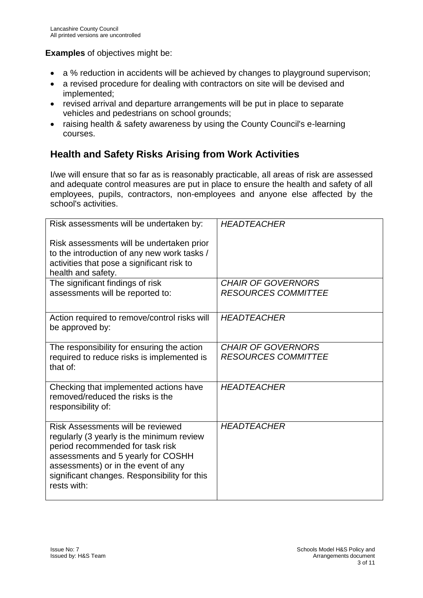### **Examples** of objectives might be:

- a % reduction in accidents will be achieved by changes to playground supervison;
- a revised procedure for dealing with contractors on site will be devised and implemented;
- revised arrival and departure arrangements will be put in place to separate vehicles and pedestrians on school grounds;
- raising health & safety awareness by using the County Council's e-learning courses.

# **Health and Safety Risks Arising from Work Activities**

I/we will ensure that so far as is reasonably practicable, all areas of risk are assessed and adequate control measures are put in place to ensure the health and safety of all employees, pupils, contractors, non-employees and anyone else affected by the school's activities.

| Risk assessments will be undertaken by:                                                                                                                                                                                                                        | <b>HEADTEACHER</b>                                      |
|----------------------------------------------------------------------------------------------------------------------------------------------------------------------------------------------------------------------------------------------------------------|---------------------------------------------------------|
| Risk assessments will be undertaken prior<br>to the introduction of any new work tasks /<br>activities that pose a significant risk to<br>health and safety.                                                                                                   |                                                         |
| The significant findings of risk<br>assessments will be reported to:                                                                                                                                                                                           | <b>CHAIR OF GOVERNORS</b><br><b>RESOURCES COMMITTEE</b> |
| Action required to remove/control risks will<br>be approved by:                                                                                                                                                                                                | <b>HEADTEACHER</b>                                      |
| The responsibility for ensuring the action<br>required to reduce risks is implemented is<br>that of:                                                                                                                                                           | <b>CHAIR OF GOVERNORS</b><br><b>RESOURCES COMMITTEE</b> |
| Checking that implemented actions have<br>removed/reduced the risks is the<br>responsibility of:                                                                                                                                                               | <b>HEADTEACHER</b>                                      |
| Risk Assessments will be reviewed<br>regularly (3 yearly is the minimum review<br>period recommended for task risk<br>assessments and 5 yearly for COSHH<br>assessments) or in the event of any<br>significant changes. Responsibility for this<br>rests with: | <b>HEADTEACHER</b>                                      |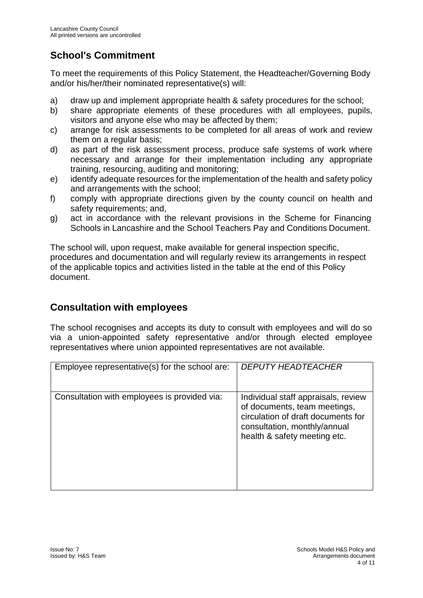# **School's Commitment**

To meet the requirements of this Policy Statement, the Headteacher/Governing Body and/or his/her/their nominated representative(s) will:

- a) draw up and implement appropriate health & safety procedures for the school;
- b) share appropriate elements of these procedures with all employees, pupils, visitors and anyone else who may be affected by them;
- c) arrange for risk assessments to be completed for all areas of work and review them on a regular basis;
- d) as part of the risk assessment process, produce safe systems of work where necessary and arrange for their implementation including any appropriate training, resourcing, auditing and monitoring;
- e) identify adequate resources for the implementation of the health and safety policy and arrangements with the school;
- f) comply with appropriate directions given by the county council on health and safety requirements; and,
- g) act in accordance with the relevant provisions in the Scheme for Financing Schools in Lancashire and the School Teachers Pay and Conditions Document.

The school will, upon request, make available for general inspection specific, procedures and documentation and will regularly review its arrangements in respect of the applicable topics and activities listed in the table at the end of this Policy document.

# **Consultation with employees**

The school recognises and accepts its duty to consult with employees and will do so via a union-appointed safety representative and/or through elected employee representatives where union appointed representatives are not available.

| Employee representative(s) for the school are: | <i>DEPUTY HEADTEACHER</i>                                                                                                                                                 |
|------------------------------------------------|---------------------------------------------------------------------------------------------------------------------------------------------------------------------------|
| Consultation with employees is provided via:   | Individual staff appraisals, review<br>of documents, team meetings,<br>circulation of draft documents for<br>consultation, monthly/annual<br>health & safety meeting etc. |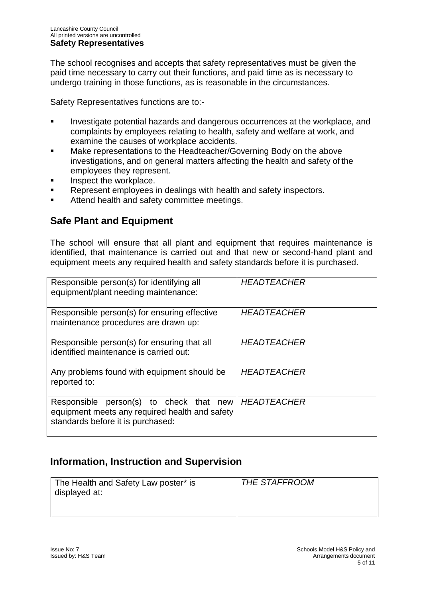The school recognises and accepts that safety representatives must be given the paid time necessary to carry out their functions, and paid time as is necessary to undergo training in those functions, as is reasonable in the circumstances.

Safety Representatives functions are to:-

- Investigate potential hazards and dangerous occurrences at the workplace, and complaints by employees relating to health, safety and welfare at work, and examine the causes of workplace accidents.
- Make representations to the Headteacher/Governing Body on the above investigations, and on general matters affecting the health and safety of the employees they represent.
- Inspect the workplace.
- Represent employees in dealings with health and safety inspectors.
- Attend health and safety committee meetings.

## **Safe Plant and Equipment**

The school will ensure that all plant and equipment that requires maintenance is identified, that maintenance is carried out and that new or second-hand plant and equipment meets any required health and safety standards before it is purchased.

| Responsible person(s) for identifying all<br>equipment/plant needing maintenance:                                              | <b>HEADTEACHER</b> |
|--------------------------------------------------------------------------------------------------------------------------------|--------------------|
| Responsible person(s) for ensuring effective<br>maintenance procedures are drawn up:                                           | <b>HEADTEACHER</b> |
| Responsible person(s) for ensuring that all<br>identified maintenance is carried out:                                          | <b>HEADTEACHER</b> |
| Any problems found with equipment should be<br>reported to:                                                                    | <b>HEADTEACHER</b> |
| Responsible person(s) to check that new<br>equipment meets any required health and safety<br>standards before it is purchased: | <b>HEADTEACHER</b> |

## **Information, Instruction and Supervision**

| The Health and Safety Law poster* is | <b>THE STAFFROOM</b> |
|--------------------------------------|----------------------|
| displayed at:                        |                      |
|                                      |                      |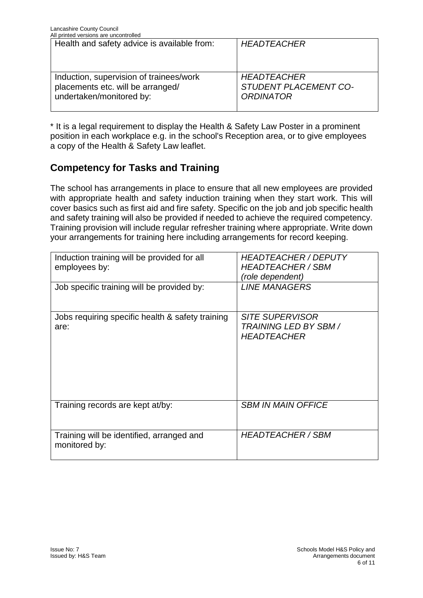| All printed versions are uncontrolled                                                                    |                                                                 |
|----------------------------------------------------------------------------------------------------------|-----------------------------------------------------------------|
| Health and safety advice is available from:                                                              | <b>HEADTEACHER</b>                                              |
| Induction, supervision of trainees/work<br>placements etc. will be arranged/<br>undertaken/monitored by: | <b>HEADTEACHER</b><br>STUDENT PLACEMENT CO-<br><b>ORDINATOR</b> |

\* It is a legal requirement to display the Health & Safety Law Poster in a prominent position in each workplace e.g. in the school's Reception area, or to give employees a copy of the Health & Safety Law leaflet.

## **Competency for Tasks and Training**

The school has arrangements in place to ensure that all new employees are provided with appropriate health and safety induction training when they start work. This will cover basics such as first aid and fire safety. Specific on the job and job specific health and safety training will also be provided if needed to achieve the required competency. Training provision will include regular refresher training where appropriate. Write down your arrangements for training here including arrangements for record keeping.

| Induction training will be provided for all<br>employees by:<br>Job specific training will be provided by: | <b>HEADTEACHER / DEPUTY</b><br><b>HEADTEACHER / SBM</b><br>(role dependent)<br><b>LINE MANAGERS</b> |
|------------------------------------------------------------------------------------------------------------|-----------------------------------------------------------------------------------------------------|
| Jobs requiring specific health & safety training<br>are:                                                   | <b>SITE SUPERVISOR</b><br><b>TRAINING LED BY SBM /</b><br><b>HEADTEACHER</b>                        |
| Training records are kept at/by:                                                                           | <b>SBM IN MAIN OFFICE</b>                                                                           |
| Training will be identified, arranged and<br>monitored by:                                                 | <b>HEADTEACHER / SBM</b>                                                                            |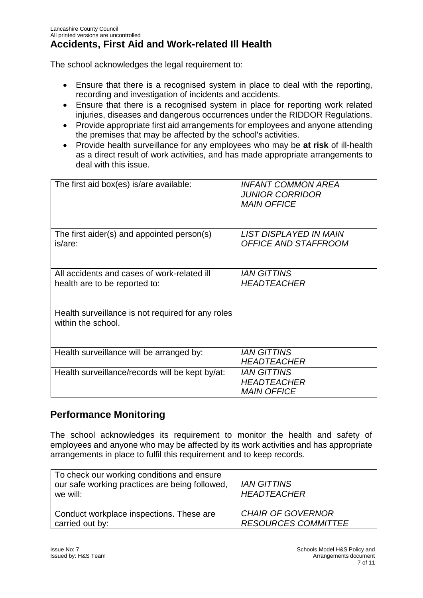The school acknowledges the legal requirement to:

- Ensure that there is a recognised system in place to deal with the reporting, recording and investigation of incidents and accidents.
- Ensure that there is a recognised system in place for reporting work related injuries, diseases and dangerous occurrences under the RIDDOR Regulations.
- Provide appropriate first aid arrangements for employees and anyone attending the premises that may be affected by the school's activities.
- Provide health surveillance for any employees who may be **at risk** of ill-health as a direct result of work activities, and has made appropriate arrangements to deal with this issue.

| The first aid box(es) is/are available:                                      | <b>INFANT COMMON AREA</b><br><b>JUNIOR CORRIDOR</b><br><b>MAIN OFFICE</b> |
|------------------------------------------------------------------------------|---------------------------------------------------------------------------|
| The first aider(s) and appointed person(s)<br>is/are:                        | LIST DISPLAYED IN MAIN<br><b>OFFICE AND STAFFROOM</b>                     |
| All accidents and cases of work-related ill<br>health are to be reported to: | <b>IAN GITTINS</b><br><b>HEADTEACHER</b>                                  |
| Health surveillance is not required for any roles<br>within the school.      |                                                                           |
| Health surveillance will be arranged by:                                     | <b>IAN GITTINS</b><br><b>HEADTEACHER</b>                                  |
| Health surveillance/records will be kept by/at:                              | <b>IAN GITTINS</b><br><b>HEADTEACHER</b><br><b>MAIN OFFICE</b>            |

## **Performance Monitoring**

The school acknowledges its requirement to monitor the health and safety of employees and anyone who may be affected by its work activities and has appropriate arrangements in place to fulfil this requirement and to keep records.

| To check our working conditions and ensure<br>our safe working practices are being followed,<br>we will: | <b>IAN GITTINS</b><br><b>HEADTEACHER</b> |
|----------------------------------------------------------------------------------------------------------|------------------------------------------|
| Conduct workplace inspections. These are                                                                 | <b>CHAIR OF GOVERNOR</b>                 |
| carried out by:                                                                                          | <b>RESOURCES COMMITTEE</b>               |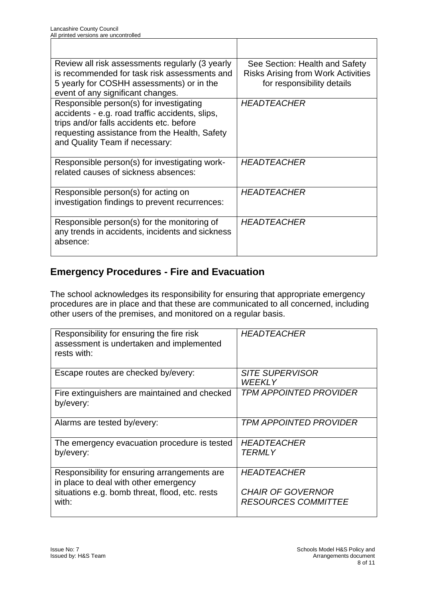| Review all risk assessments regularly (3 yearly | See Section: Health and Safety            |
|-------------------------------------------------|-------------------------------------------|
| is recommended for task risk assessments and    | <b>Risks Arising from Work Activities</b> |
| 5 yearly for COSHH assessments) or in the       | for responsibility details                |
| event of any significant changes.               |                                           |
| Responsible person(s) for investigating         | <b>HEADTEACHER</b>                        |
| accidents - e.g. road traffic accidents, slips, |                                           |
| trips and/or falls accidents etc. before        |                                           |
| requesting assistance from the Health, Safety   |                                           |
| and Quality Team if necessary:                  |                                           |
| Responsible person(s) for investigating work-   | <b>HEADTEACHER</b>                        |
| related causes of sickness absences:            |                                           |
|                                                 |                                           |
| Responsible person(s) for acting on             | <b>HEADTEACHER</b>                        |
| investigation findings to prevent recurrences:  |                                           |
|                                                 |                                           |
| Responsible person(s) for the monitoring of     | <b>HEADTEACHER</b>                        |
| any trends in accidents, incidents and sickness |                                           |
| absence:                                        |                                           |
|                                                 |                                           |

## **Emergency Procedures - Fire and Evacuation**

The school acknowledges its responsibility for ensuring that appropriate emergency procedures are in place and that these are communicated to all concerned, including other users of the premises, and monitored on a regular basis.

| Responsibility for ensuring the fire risk<br>assessment is undertaken and implemented<br>rests with: | <b>HEADTEACHER</b>                                     |
|------------------------------------------------------------------------------------------------------|--------------------------------------------------------|
| Escape routes are checked by/every:                                                                  | <b>SITE SUPERVISOR</b><br>WEEKLY                       |
| Fire extinguishers are maintained and checked<br>by/every:                                           | <b>TPM APPOINTED PROVIDER</b>                          |
| Alarms are tested by/every:                                                                          | <b>TPM APPOINTED PROVIDER</b>                          |
| The emergency evacuation procedure is tested<br>by/every:                                            | <b>HEADTEACHER</b><br><i>TERMLY</i>                    |
| Responsibility for ensuring arrangements are<br>in place to deal with other emergency                | <b>HEADTEACHER</b>                                     |
| situations e.g. bomb threat, flood, etc. rests<br>with:                                              | <b>CHAIR OF GOVERNOR</b><br><b>RESOURCES COMMITTEE</b> |

٦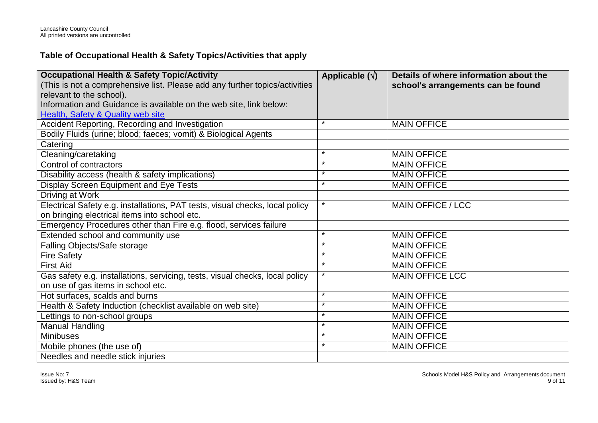### **Table of Occupational Health & Safety Topics/Activities that apply**

| <b>Occupational Health &amp; Safety Topic/Activity</b>                       | Applicable $(\sqrt{})$ | Details of where information about the |
|------------------------------------------------------------------------------|------------------------|----------------------------------------|
| (This is not a comprehensive list. Please add any further topics/activities  |                        | school's arrangements can be found     |
| relevant to the school).                                                     |                        |                                        |
| Information and Guidance is available on the web site, link below:           |                        |                                        |
| Health, Safety & Quality web site                                            |                        |                                        |
| Accident Reporting, Recording and Investigation                              | $\star$                | <b>MAIN OFFICE</b>                     |
| Bodily Fluids (urine; blood; faeces; vomit) & Biological Agents              |                        |                                        |
| Catering                                                                     |                        |                                        |
| Cleaning/caretaking                                                          | $\star$                | <b>MAIN OFFICE</b>                     |
| Control of contractors                                                       | $\star$                | <b>MAIN OFFICE</b>                     |
| Disability access (health & safety implications)                             | $\ast$                 | <b>MAIN OFFICE</b>                     |
| Display Screen Equipment and Eye Tests                                       | $\star$                | <b>MAIN OFFICE</b>                     |
| Driving at Work                                                              |                        |                                        |
| Electrical Safety e.g. installations, PAT tests, visual checks, local policy | $\star$                | <b>MAIN OFFICE / LCC</b>               |
| on bringing electrical items into school etc.                                |                        |                                        |
| Emergency Procedures other than Fire e.g. flood, services failure            |                        |                                        |
| Extended school and community use                                            | $\star$                | <b>MAIN OFFICE</b>                     |
| Falling Objects/Safe storage                                                 | $\star$                | <b>MAIN OFFICE</b>                     |
| <b>Fire Safety</b>                                                           | $\star$                | <b>MAIN OFFICE</b>                     |
| <b>First Aid</b>                                                             | $\star$                | <b>MAIN OFFICE</b>                     |
| Gas safety e.g. installations, servicing, tests, visual checks, local policy | $\star$                | <b>MAIN OFFICE LCC</b>                 |
| on use of gas items in school etc.                                           |                        |                                        |
| Hot surfaces, scalds and burns                                               | $\star$                | <b>MAIN OFFICE</b>                     |
| Health & Safety Induction (checklist available on web site)                  | $\ast$                 | <b>MAIN OFFICE</b>                     |
| Lettings to non-school groups                                                | $\star$                | <b>MAIN OFFICE</b>                     |
| <b>Manual Handling</b>                                                       | $\star$                | <b>MAIN OFFICE</b>                     |
| <b>Minibuses</b>                                                             | $\star$                | <b>MAIN OFFICE</b>                     |
| Mobile phones (the use of)                                                   | $\star$                | <b>MAIN OFFICE</b>                     |
| Needles and needle stick injuries                                            |                        |                                        |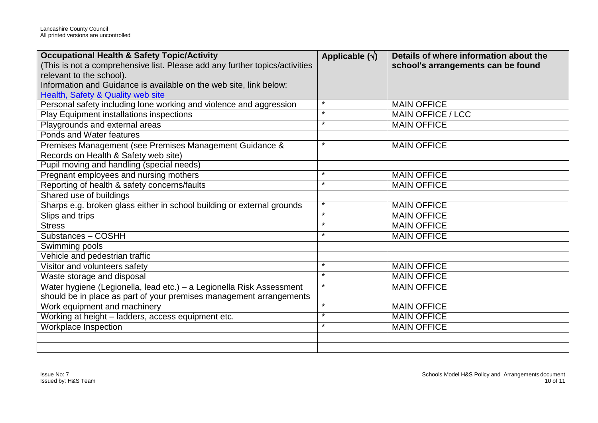| <b>Occupational Health &amp; Safety Topic/Activity</b>                      | Applicable $(\sqrt{})$ | Details of where information about the |
|-----------------------------------------------------------------------------|------------------------|----------------------------------------|
| (This is not a comprehensive list. Please add any further topics/activities |                        | school's arrangements can be found     |
| relevant to the school).                                                    |                        |                                        |
| Information and Guidance is available on the web site, link below:          |                        |                                        |
| Health, Safety & Quality web site                                           |                        |                                        |
| Personal safety including lone working and violence and aggression          | $\star$                | <b>MAIN OFFICE</b>                     |
| Play Equipment installations inspections                                    | $\star$                | <b>MAIN OFFICE / LCC</b>               |
| Playgrounds and external areas                                              | $\star$                | <b>MAIN OFFICE</b>                     |
| Ponds and Water features                                                    |                        |                                        |
| Premises Management (see Premises Management Guidance &                     | *                      | <b>MAIN OFFICE</b>                     |
| Records on Health & Safety web site)                                        |                        |                                        |
| Pupil moving and handling (special needs)                                   |                        |                                        |
| Pregnant employees and nursing mothers                                      | $\star$                | <b>MAIN OFFICE</b>                     |
| Reporting of health & safety concerns/faults                                | $\star$                | <b>MAIN OFFICE</b>                     |
| Shared use of buildings                                                     |                        |                                        |
| Sharps e.g. broken glass either in school building or external grounds      | $\star$                | <b>MAIN OFFICE</b>                     |
| Slips and trips                                                             | $\star$                | <b>MAIN OFFICE</b>                     |
| <b>Stress</b>                                                               | $\star$                | <b>MAIN OFFICE</b>                     |
| Substances - COSHH                                                          | $\star$                | <b>MAIN OFFICE</b>                     |
| Swimming pools                                                              |                        |                                        |
| Vehicle and pedestrian traffic                                              |                        |                                        |
| Visitor and volunteers safety                                               | $\star$                | <b>MAIN OFFICE</b>                     |
| Waste storage and disposal                                                  | $\star$                | <b>MAIN OFFICE</b>                     |
| Water hygiene (Legionella, lead etc.) – a Legionella Risk Assessment        | $\star$                | <b>MAIN OFFICE</b>                     |
| should be in place as part of your premises management arrangements         |                        |                                        |
| Work equipment and machinery                                                | $\star$                | <b>MAIN OFFICE</b>                     |
| Working at height - ladders, access equipment etc.                          | $\star$                | <b>MAIN OFFICE</b>                     |
| Workplace Inspection                                                        | $\star$                | <b>MAIN OFFICE</b>                     |
|                                                                             |                        |                                        |
|                                                                             |                        |                                        |